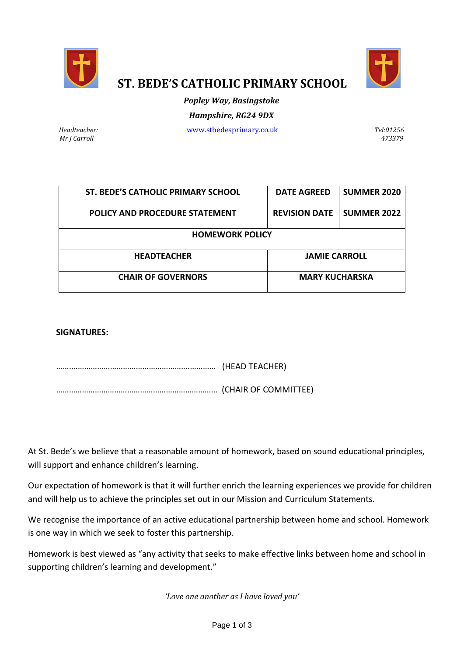



# **ST. BEDE'S CATHOLIC PRIMARY SCHOOL**

# *Popley Way, Basingstoke Hampshire, RG24 9DX*

*Mr J Carroll 473379*

*Headteacher:* [www.stbedesprimary.co.uk](http://www.stbedesprimary.co.uk/) *Tel:01256*

| ST. BEDE'S CATHOLIC PRIMARY SCHOOL | <b>DATE AGREED</b>    | <b>SUMMER 2020</b> |  |  |
|------------------------------------|-----------------------|--------------------|--|--|
| POLICY AND PROCEDURE STATEMENT     | <b>REVISION DATE</b>  | <b>SUMMER 2022</b> |  |  |
| <b>HOMEWORK POLICY</b>             |                       |                    |  |  |
| <b>HEADTEACHER</b>                 | <b>JAMIE CARROLL</b>  |                    |  |  |
| <b>CHAIR OF GOVERNORS</b>          | <b>MARY KUCHARSKA</b> |                    |  |  |

# **SIGNATURES:**

…….……………………………………………….………… (HEAD TEACHER) ………………………………………………………………… (CHAIR OF COMMITTEE)

At St. Bede's we believe that a reasonable amount of homework, based on sound educational principles, will support and enhance children's learning.

Our expectation of homework is that it will further enrich the learning experiences we provide for children and will help us to achieve the principles set out in our Mission and Curriculum Statements.

We recognise the importance of an active educational partnership between home and school. Homework is one way in which we seek to foster this partnership.

Homework is best viewed as "any activity that seeks to make effective links between home and school in supporting children's learning and development."

*'Love one another as I have loved you'*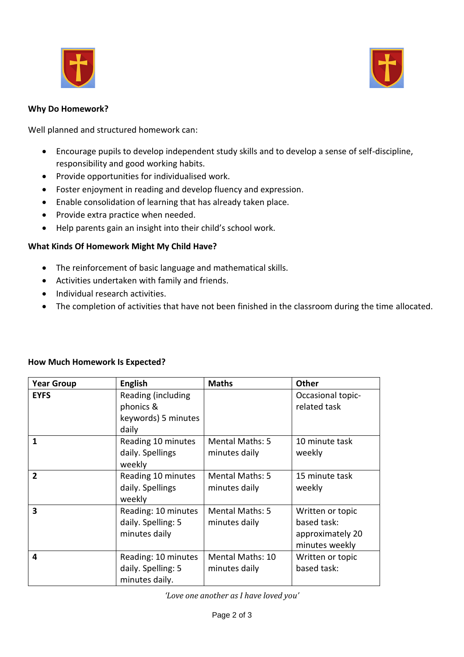



#### **Why Do Homework?**

Well planned and structured homework can:

- Encourage pupils to develop independent study skills and to develop a sense of self-discipline, responsibility and good working habits.
- Provide opportunities for individualised work.
- Foster enjoyment in reading and develop fluency and expression.
- Enable consolidation of learning that has already taken place.
- Provide extra practice when needed.
- Help parents gain an insight into their child's school work.

# **What Kinds Of Homework Might My Child Have?**

- The reinforcement of basic language and mathematical skills.
- Activities undertaken with family and friends.
- Individual research activities.
- The completion of activities that have not been finished in the classroom during the time allocated.

| <b>Year Group</b>       | <b>English</b>                                                  | <b>Maths</b>                             | <b>Other</b>                                                          |
|-------------------------|-----------------------------------------------------------------|------------------------------------------|-----------------------------------------------------------------------|
| <b>EYFS</b>             | Reading (including<br>phonics &<br>keywords) 5 minutes<br>daily |                                          | Occasional topic-<br>related task                                     |
| 1                       | Reading 10 minutes<br>daily. Spellings<br>weekly                | <b>Mental Maths: 5</b><br>minutes daily  | 10 minute task<br>weekly                                              |
| $\mathbf{2}$            | Reading 10 minutes<br>daily. Spellings<br>weekly                | <b>Mental Maths: 5</b><br>minutes daily  | 15 minute task<br>weekly                                              |
| $\overline{\mathbf{3}}$ | Reading: 10 minutes<br>daily. Spelling: 5<br>minutes daily      | <b>Mental Maths: 5</b><br>minutes daily  | Written or topic<br>based task:<br>approximately 20<br>minutes weekly |
| 4                       | Reading: 10 minutes<br>daily. Spelling: 5<br>minutes daily.     | <b>Mental Maths: 10</b><br>minutes daily | Written or topic<br>based task:                                       |

# **How Much Homework Is Expected?**

*'Love one another as I have loved you'*